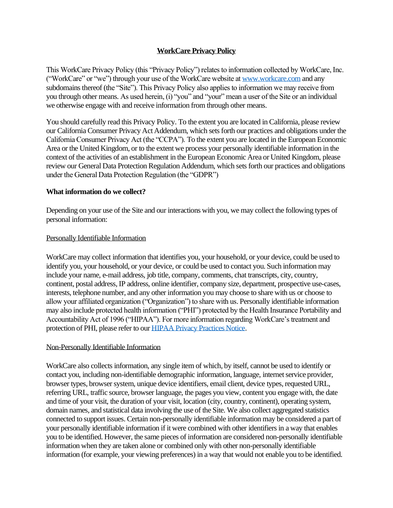# **WorkCare Privacy Policy**

This WorkCare Privacy Policy (this "Privacy Policy") relates to information collected by WorkCare, Inc. ("WorkCare" or "we") through your use of the WorkCare website a[t www.workcare.com](http://www.workcare.com/) and any subdomains thereof (the "Site"). This Privacy Policy also applies to information we may receive from you through other means. As used herein, (i) "you" and "your" mean a user of the Site or an individual we otherwise engage with and receive information from through other means.

You should carefully read this Privacy Policy. To the extent you are located in California, please review our California Consumer Privacy Act Addendum, which sets forth our practices and obligations under the California Consumer Privacy Act (the "CCPA"). To the extent you are located in the European Economic Area or the United Kingdom, or to the extent we process your personally identifiable information in the context of the activities of an establishment in the European Economic Area or United Kingdom, please review our General Data Protection Regulation Addendum, which sets forth our practices and obligations under the General Data Protection Regulation (the "GDPR")

#### **What information do we collect?**

Depending on your use of the Site and our interactions with you, we may collect the following types of personal information:

#### Personally Identifiable Information

WorkCare may collect information that identifies you, your household, or your device, could be used to identify you, your household, or your device, or could be used to contact you. Such information may include your name, e-mail address, job title, company, comments, chat transcripts, city, country, continent, postal address, IP address, online identifier, company size, department, prospective use-cases, interests, telephone number, and any other information you may choose to share with us or choose to allow your affiliated organization ("Organization") to share with us. Personally identifiable information may also include protected health information ("PHI") protected by the Health Insurance Portability and Accountability Act of 1996 ("HIPAA"). For more information regarding WorkCare's treatment and protection of PHI, please refer to ou[r HIPAA Privacy Practices Notice.](https://www.workcare.com/wp-content/uploads/2020/07/HIPAA-Privacy-Practices-Notice-RM-7-13-20.pdf)

### Non-Personally Identifiable Information

WorkCare also collects information, any single item of which, by itself, cannot be used to identify or contact you, including non-identifiable demographic information, language, internet service provider, browser types, browser system, unique device identifiers, email client, device types, requested URL, referring URL, traffic source, browser language, the pages you view, content you engage with, the date and time of your visit, the duration of your visit, location (city, country, continent), operating system, domain names, and statistical data involving the use of the Site. We also collect aggregated statistics connected to support issues. Certain non-personally identifiable information may be considered a part of your personally identifiable information if it were combined with other identifiers in a way that enables you to be identified. However, the same pieces of information are considered non-personally identifiable information when they are taken alone or combined only with other non-personally identifiable information (for example, your viewing preferences) in a way that would not enable you to be identified.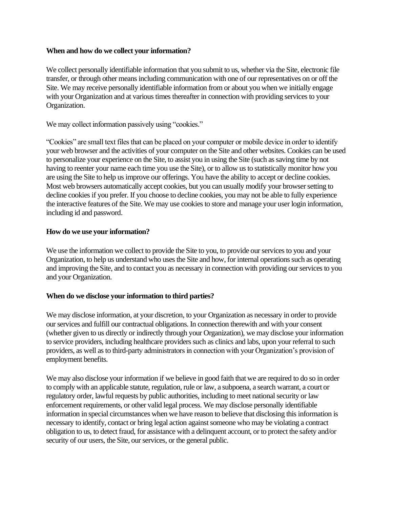### **When and how do we collect your information?**

We collect personally identifiable information that you submit to us, whether via the Site, electronic file transfer, or through other means including communication with one of our representatives on or off the Site. We may receive personally identifiable information from or about you when we initially engage with your Organization and at various times thereafter in connection with providing services to your Organization.

We may collect information passively using "cookies."

"Cookies" are small text files that can be placed on your computer or mobile device in order to identify your web browser and the activities of your computer on the Site and other websites. Cookies can be used to personalize your experience on the Site, to assist you in using the Site (such as saving time by not having to reenter your name each time you use the Site), or to allow us to statistically monitor how you are using the Site to help us improve our offerings. You have the ability to accept or decline cookies. Most web browsers automatically accept cookies, but you can usually modify your browser setting to decline cookies if you prefer. If you choose to decline cookies, you may not be able to fully experience the interactive features of the Site. We may use cookies to store and manage your user login information, including id and password.

## **How do we use your information?**

We use the information we collect to provide the Site to you, to provide our services to you and your Organization, to help us understand who uses the Site and how, for internal operations such as operating and improving the Site, and to contact you as necessary in connection with providing our services to you and your Organization.

### **When do we disclose your information to third parties?**

We may disclose information, at your discretion, to your Organization as necessary in order to provide our services and fulfill our contractual obligations. In connection therewith and with your consent (whether given to us directly or indirectly through your Organization), we may disclose your information to service providers, including healthcare providers such as clinics and labs, upon your referral to such providers, as well as to third-party administrators in connection with your Organization's provision of employment benefits.

We may also disclose your information if we believe in good faith that we are required to do so in order to comply with an applicable statute, regulation, rule or law, a subpoena, a search warrant, a court or regulatory order, lawful requests by public authorities, including to meet national security or law enforcement requirements, or other valid legal process. We may disclose personally identifiable information in special circumstances when we have reason to believe that disclosing this information is necessary to identify, contact or bring legal action against someone who may be violating a contract obligation to us, to detect fraud, for assistance with a delinquent account, or to protect the safety and/or security of our users, the Site, our services, or the general public.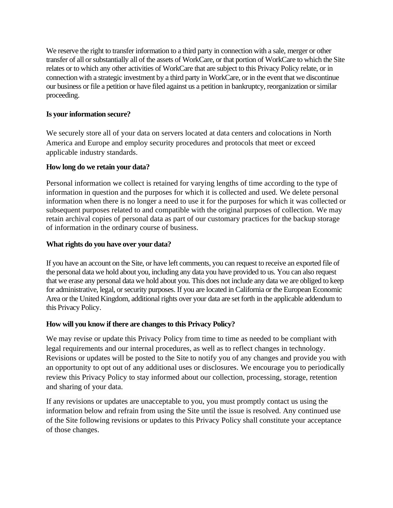We reserve the right to transfer information to a third party in connection with a sale, merger or other transfer of all or substantially all of the assets of WorkCare, or that portion of WorkCare to which the Site relates or to which any other activities of WorkCare that are subject to this Privacy Policy relate, or in connection with a strategic investment by a third party in WorkCare, or in the event that we discontinue our business or file a petition or have filed against us a petition in bankruptcy, reorganization or similar proceeding.

# **Is your information secure?**

We securely store all of your data on servers located at data centers and colocations in North America and Europe and employ security procedures and protocols that meet or exceed applicable industry standards.

## **How long do we retain your data?**

Personal information we collect is retained for varying lengths of time according to the type of information in question and the purposes for which it is collected and used. We delete personal information when there is no longer a need to use it for the purposes for which it was collected or subsequent purposes related to and compatible with the original purposes of collection. We may retain archival copies of personal data as part of our customary practices for the backup storage of information in the ordinary course of business.

## **What rights do you have over your data?**

If you have an account on the Site, or have left comments, you can request to receive an exported file of the personal data we hold about you, including any data you have provided to us. You can also request that we erase any personal data we hold about you. This does not include any data we are obliged to keep for administrative, legal, or security purposes. If you are located in California or the European Economic Area or the United Kingdom, additional rights over your data are set forth in the applicable addendum to this Privacy Policy.

# **How will you know if there are changes to this Privacy Policy?**

We may revise or update this Privacy Policy from time to time as needed to be compliant with legal requirements and our internal procedures, as well as to reflect changes in technology. Revisions or updates will be posted to the Site to notify you of any changes and provide you with an opportunity to opt out of any additional uses or disclosures. We encourage you to periodically review this Privacy Policy to stay informed about our collection, processing, storage, retention and sharing of your data.

If any revisions or updates are unacceptable to you, you must promptly contact us using the information below and refrain from using the Site until the issue is resolved. Any continued use of the Site following revisions or updates to this Privacy Policy shall constitute your acceptance of those changes.